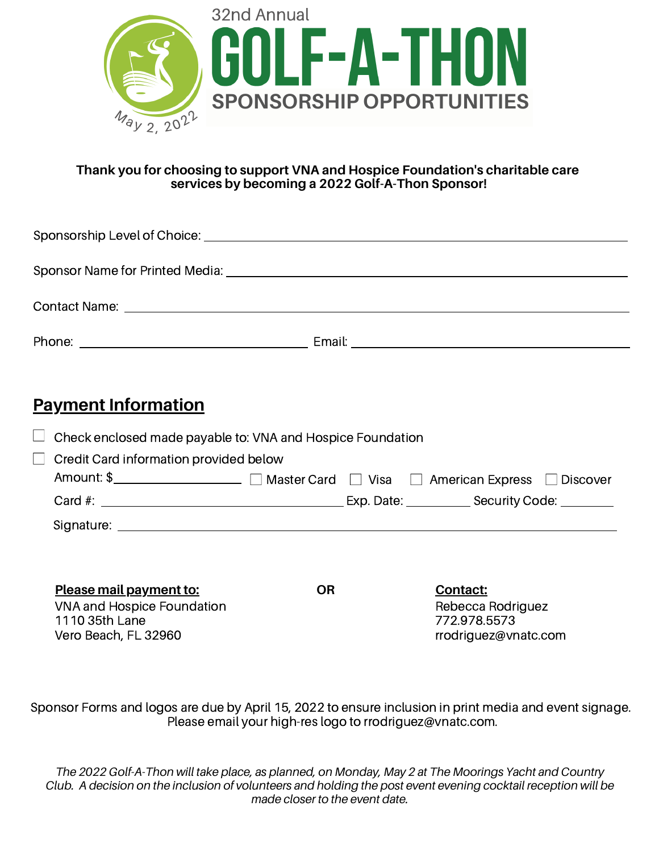

#### **Thank you for choosing to support VNA and Hospice Foundation's charitable care services by becoming a 2022 Golf-A-Thon Sponsor!**

| <b>Payment Information</b>                                                         |           |  |                                   |  |
|------------------------------------------------------------------------------------|-----------|--|-----------------------------------|--|
| Check enclosed made payable to: VNA and Hospice Foundation                         |           |  |                                   |  |
| Credit Card information provided below                                             |           |  |                                   |  |
| Amount: \$_____________________ □ Master Card □ Visa □ American Express □ Discover |           |  |                                   |  |
|                                                                                    |           |  |                                   |  |
|                                                                                    |           |  |                                   |  |
|                                                                                    |           |  |                                   |  |
| Please mail payment to:                                                            | <b>OR</b> |  | <b>Contact:</b>                   |  |
| <b>VNA and Hospice Foundation</b><br>1110 35th Lane                                |           |  | Rebecca Rodriguez<br>772.978.5573 |  |
| Vero Beach, FL 32960                                                               |           |  | rrodriguez@vnatc.com              |  |

Sponsor Forms and logos are due by April 15, 2022 to ensure inclusion in print media and event signage. Please email your high-res logo to rrodriguez@vnatc.com.

The 2022 Golf-A-Thon will take place, as planned, on Monday, May 2 at The Moorings Yacht and Country Club. A decision on the inclusion of volunteers and holding the post event evening cocktail reception will be *made closer to the event date.*